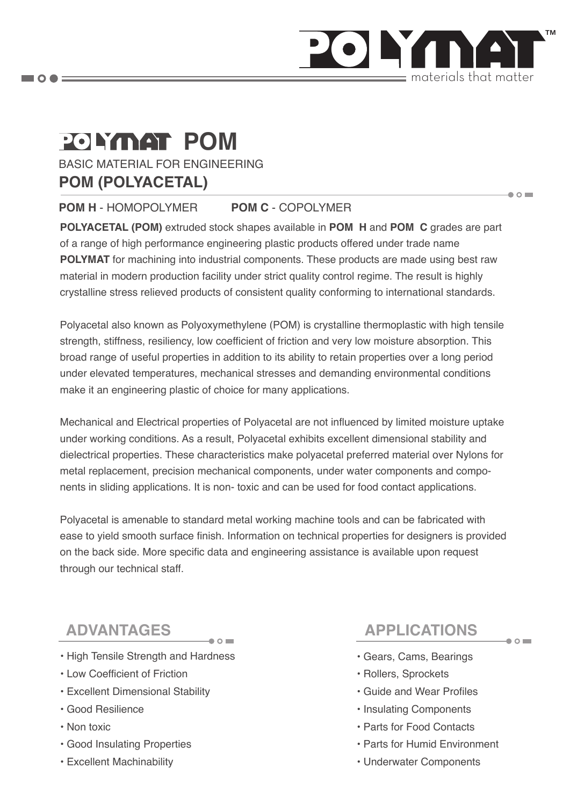

# **POLYMAT POM**

BASIC MATERIAL FOR ENGINEERING **POM (POLYACETAL)** 

#### **POM H** - HOMOPOLYMER **POM C** - COPOLYMER

**POLYACETAL (POM)** extruded stock shapes available in **POM H** and **POM C** grades are part of a range of high performance engineering plastic products offered under trade name **POLYMAT** for machining into industrial components. These products are made using best raw material in modern production facility under strict quality control regime. The result is highly crystalline stress relieved products of consistent quality conforming to international standards.

Polyacetal also known as Polyoxymethylene (POM) is crystalline thermoplastic with high tensile strength, stiffness, resiliency, low coefficient of friction and very low moisture absorption. This broad range of useful properties in addition to its ability to retain properties over a long period under elevated temperatures, mechanical stresses and demanding environmental conditions make it an engineering plastic of choice for many applications.

Mechanical and Electrical properties of Polyacetal are not influenced by limited moisture uptake under working conditions. As a result, Polyacetal exhibits excellent dimensional stability and dielectrical properties. These characteristics make polyacetal preferred material over Nylons for metal replacement, precision mechanical components, under water components and components in sliding applications. It is non- toxic and can be used for food contact applications.

Polyacetal is amenable to standard metal working machine tools and can be fabricated with ease to yield smooth surface finish. Information on technical properties for designers is provided on the back side. More specific data and engineering assistance is available upon request through our technical staff.

- High Tensile Strength and Hardness
- Low Coefficient of Friction
- Excellent Dimensional Stability
- Good Resilience
- Non toxic
- Good Insulating Properties
- Excellent Machinability

## **ADVANTAGES APPLICATIONS**

 $\bullet$  0

 $\bullet$   $\circ$   $\blacksquare$ 

- Gears, Cams, Bearings
- Rollers, Sprockets
- Guide and Wear Profiles
- Insulating Components
- Parts for Food Contacts
- Parts for Humid Environment
- Underwater Components

 $\blacksquare$   $\bigcirc$   $\spadesuit$   $\equiv$